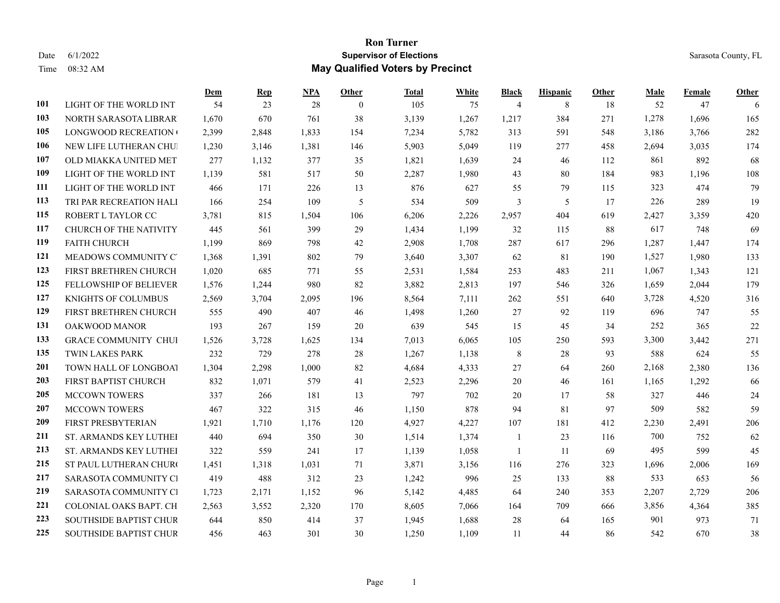## **Ron Turner** Date 6/1/2022 Sarasota County, FL Time 08:32 AM **May Qualified Voters by Precinct**

|     |                               | Dem   | <b>Rep</b> | <b>NPA</b> | Other          | <b>Total</b> | White | Black          | <b>Hispanic</b> | Other | Male  | Female | Other |
|-----|-------------------------------|-------|------------|------------|----------------|--------------|-------|----------------|-----------------|-------|-------|--------|-------|
| 101 | LIGHT OF THE WORLD INT        | 54    | 23         | 28         | $\overline{0}$ | 105          | 75    | $\overline{4}$ | 8               | 18    | 52    | 47     | 6     |
| 103 | NORTH SARASOTA LIBRAR         | 1,670 | 670        | 761        | 38             | 3,139        | 1,267 | 1,217          | 384             | 271   | 1,278 | 1,696  | 165   |
| 105 | LONGWOOD RECREATION           | 2,399 | 2,848      | 1,833      | 154            | 7,234        | 5,782 | 313            | 591             | 548   | 3,186 | 3,766  | 282   |
| 106 | NEW LIFE LUTHERAN CHUI        | 1,230 | 3,146      | 1,381      | 146            | 5,903        | 5,049 | 119            | 277             | 458   | 2,694 | 3,035  | 174   |
| 107 | OLD MIAKKA UNITED MET         | 277   | 1,132      | 377        | 35             | 1,821        | 1,639 | 24             | 46              | 112   | 861   | 892    | 68    |
| 109 | LIGHT OF THE WORLD INT        | 1,139 | 581        | 517        | 50             | 2,287        | 1,980 | 43             | 80              | 184   | 983   | 1,196  | 108   |
| 111 | LIGHT OF THE WORLD INT        | 466   | 171        | 226        | 13             | 876          | 627   | 55             | 79              | 115   | 323   | 474    | 79    |
| 113 | TRI PAR RECREATION HALI       | 166   | 254        | 109        | 5              | 534          | 509   | $\overline{3}$ | 5               | 17    | 226   | 289    | 19    |
| 115 | ROBERT L TAYLOR CC            | 3,781 | 815        | 1,504      | 106            | 6,206        | 2,226 | 2,957          | 404             | 619   | 2,427 | 3,359  | 420   |
| 117 | <b>CHURCH OF THE NATIVITY</b> | 445   | 561        | 399        | 29             | 1,434        | 1,199 | 32             | 115             | 88    | 617   | 748    | 69    |
| 119 | <b>FAITH CHURCH</b>           | 1,199 | 869        | 798        | 42             | 2,908        | 1,708 | 287            | 617             | 296   | 1,287 | 1,447  | 174   |
| 121 | MEADOWS COMMUNITY C'          | 1,368 | 1,391      | 802        | 79             | 3,640        | 3,307 | 62             | 81              | 190   | 1,527 | 1,980  | 133   |
| 123 | FIRST BRETHREN CHURCH         | 1,020 | 685        | 771        | 55             | 2,531        | 1,584 | 253            | 483             | 211   | 1,067 | 1,343  | 121   |
| 125 | FELLOWSHIP OF BELIEVER        | 1,576 | 1,244      | 980        | 82             | 3,882        | 2,813 | 197            | 546             | 326   | 1,659 | 2,044  | 179   |
| 127 | <b>KNIGHTS OF COLUMBUS</b>    | 2,569 | 3,704      | 2,095      | 196            | 8,564        | 7,111 | 262            | 551             | 640   | 3,728 | 4,520  | 316   |
| 129 | FIRST BRETHREN CHURCH         | 555   | 490        | 407        | 46             | 1,498        | 1,260 | 27             | 92              | 119   | 696   | 747    | 55    |
| 131 | OAKWOOD MANOR                 | 193   | 267        | 159        | 20             | 639          | 545   | 15             | 45              | 34    | 252   | 365    | 22    |
| 133 | <b>GRACE COMMUNITY CHUI</b>   | 1,526 | 3,728      | 1,625      | 134            | 7,013        | 6,065 | 105            | 250             | 593   | 3,300 | 3,442  | 271   |
| 135 | TWIN LAKES PARK               | 232   | 729        | 278        | 28             | 1,267        | 1,138 | 8              | 28              | 93    | 588   | 624    | 55    |
| 201 | TOWN HALL OF LONGBOAT         | 1,304 | 2,298      | 1,000      | 82             | 4,684        | 4,333 | 27             | 64              | 260   | 2,168 | 2,380  | 136   |
| 203 | FIRST BAPTIST CHURCH          | 832   | 1,071      | 579        | 41             | 2,523        | 2,296 | 20             | 46              | 161   | 1,165 | 1,292  | 66    |
| 205 | <b>MCCOWN TOWERS</b>          | 337   | 266        | 181        | 13             | 797          | 702   | 20             | 17              | 58    | 327   | 446    | 24    |
| 207 | <b>MCCOWN TOWERS</b>          | 467   | 322        | 315        | 46             | 1,150        | 878   | 94             | 81              | 97    | 509   | 582    | 59    |
| 209 | <b>FIRST PRESBYTERIAN</b>     | 1,921 | 1.710      | 1,176      | 120            | 4,927        | 4,227 | 107            | 181             | 412   | 2,230 | 2,491  | 206   |
| 211 | <b>ST. ARMANDS KEY LUTHEI</b> | 440   | 694        | 350        | 30             | 1,514        | 1,374 | -1             | 23              | 116   | 700   | 752    | 62    |
| 213 | ST. ARMANDS KEY LUTHEI        | 322   | 559        | 241        | 17             | 1,139        | 1,058 | $\overline{1}$ | 11              | 69    | 495   | 599    | 45    |
| 215 | ST PAUL LUTHERAN CHURO        | 1,451 | 1,318      | 1,031      | 71             | 3,871        | 3,156 | 116            | 276             | 323   | 1,696 | 2,006  | 169   |
| 217 | SARASOTA COMMUNITY CI         | 419   | 488        | 312        | 23             | 1,242        | 996   | 25             | 133             | 88    | 533   | 653    | 56    |
| 219 | SARASOTA COMMUNITY CI         | 1,723 | 2,171      | 1,152      | 96             | 5,142        | 4,485 | 64             | 240             | 353   | 2,207 | 2,729  | 206   |
| 221 | COLONIAL OAKS BAPT. CH        | 2,563 | 3,552      | 2,320      | 170            | 8,605        | 7,066 | 164            | 709             | 666   | 3,856 | 4,364  | 385   |
| 223 | <b>SOUTHSIDE BAPTIST CHUR</b> | 644   | 850        | 414        | 37             | 1,945        | 1,688 | 28             | 64              | 165   | 901   | 973    | 71    |
| 225 | SOUTHSIDE BAPTIST CHUR        | 456   | 463        | 301        | 30             | 1,250        | 1,109 | 11             | 44              | 86    | 542   | 670    | 38    |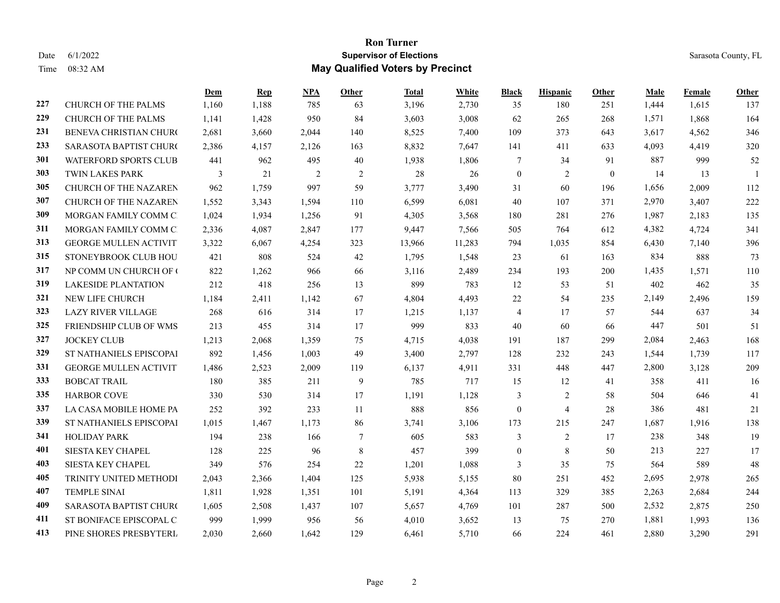## **Ron Turner** Date 6/1/2022 Sarasota County, FL Time 08:32 AM **May Qualified Voters by Precinct**

|     |                               | Dem   | $\mathbf{Rep}$ | <b>NPA</b> | Other          | Total  | White  | Black            | <b>Hispanic</b> | Other        | Male  | Female | Other |
|-----|-------------------------------|-------|----------------|------------|----------------|--------|--------|------------------|-----------------|--------------|-------|--------|-------|
| 227 | CHURCH OF THE PALMS           | 1,160 | 1,188          | 785        | 63             | 3,196  | 2,730  | 35               | 180             | 251          | 1,444 | 1,615  | 137   |
| 229 | CHURCH OF THE PALMS           | 1,141 | 1,428          | 950        | 84             | 3,603  | 3,008  | 62               | 265             | 268          | 1,571 | 1,868  | 164   |
| 231 | <b>BENEVA CHRISTIAN CHURC</b> | 2,681 | 3,660          | 2,044      | 140            | 8,525  | 7,400  | 109              | 373             | 643          | 3,617 | 4,562  | 346   |
| 233 | SARASOTA BAPTIST CHURO        | 2,386 | 4,157          | 2,126      | 163            | 8,832  | 7,647  | 141              | 411             | 633          | 4,093 | 4,419  | 320   |
| 301 | WATERFORD SPORTS CLUB         | 441   | 962            | 495        | 40             | 1,938  | 1,806  | 7                | 34              | 91           | 887   | 999    | 52    |
| 303 | TWIN LAKES PARK               | 3     | 21             | 2          | $\overline{c}$ | 28     | 26     | $\mathbf{0}$     | $\overline{c}$  | $\mathbf{0}$ | 14    | 13     |       |
| 305 | CHURCH OF THE NAZAREN         | 962   | 1,759          | 997        | 59             | 3,777  | 3,490  | 31               | 60              | 196          | 1,656 | 2,009  | 112   |
| 307 | CHURCH OF THE NAZAREN         | 1,552 | 3,343          | 1,594      | 110            | 6,599  | 6,081  | 40               | 107             | 371          | 2,970 | 3,407  | 222   |
| 309 | MORGAN FAMILY COMM C          | 1,024 | 1,934          | 1,256      | 91             | 4,305  | 3,568  | 180              | 281             | 276          | 1,987 | 2,183  | 135   |
| 311 | MORGAN FAMILY COMM C          | 2,336 | 4,087          | 2,847      | 177            | 9,447  | 7,566  | 505              | 764             | 612          | 4,382 | 4,724  | 341   |
| 313 | <b>GEORGE MULLEN ACTIVIT</b>  | 3,322 | 6,067          | 4,254      | 323            | 13,966 | 11,283 | 794              | 1,035           | 854          | 6,430 | 7,140  | 396   |
| 315 | STONEYBROOK CLUB HOU          | 421   | 808            | 524        | 42             | 1,795  | 1,548  | 23               | 61              | 163          | 834   | 888    | 73    |
| 317 | NP COMM UN CHURCH OF (        | 822   | 1,262          | 966        | 66             | 3,116  | 2,489  | 234              | 193             | 200          | 1,435 | 1,571  | 110   |
| 319 | <b>LAKESIDE PLANTATION</b>    | 212   | 418            | 256        | 13             | 899    | 783    | 12               | 53              | 51           | 402   | 462    | 35    |
| 321 | NEW LIFE CHURCH               | 1,184 | 2,411          | 1,142      | 67             | 4,804  | 4,493  | 22               | 54              | 235          | 2,149 | 2,496  | 159   |
| 323 | <b>LAZY RIVER VILLAGE</b>     | 268   | 616            | 314        | 17             | 1,215  | 1,137  | $\overline{4}$   | 17              | 57           | 544   | 637    | 34    |
| 325 | FRIENDSHIP CLUB OF WMS        | 213   | 455            | 314        | 17             | 999    | 833    | 40               | 60              | -66          | 447   | 501    | 51    |
| 327 | <b>JOCKEY CLUB</b>            | 1,213 | 2,068          | 1,359      | 75             | 4,715  | 4,038  | 191              | 187             | 299          | 2,084 | 2,463  | 168   |
| 329 | ST NATHANIELS EPISCOPAI       | 892   | 1,456          | 1,003      | 49             | 3,400  | 2,797  | 128              | 232             | 243          | 1,544 | 1,739  | 117   |
| 331 | <b>GEORGE MULLEN ACTIVIT</b>  | 1,486 | 2,523          | 2,009      | 119            | 6,137  | 4,911  | 331              | 448             | 447          | 2,800 | 3,128  | 209   |
| 333 | <b>BOBCAT TRAIL</b>           | 180   | 385            | 211        | 9              | 785    | 717    | 15               | 12              | 41           | 358   | 411    | 16    |
| 335 | <b>HARBOR COVE</b>            | 330   | 530            | 314        | 17             | 1,191  | 1,128  | 3                | 2               | 58           | 504   | 646    | 41    |
| 337 | LA CASA MOBILE HOME PA        | 252   | 392            | 233        | 11             | 888    | 856    | $\theta$         | 4               | 28           | 386   | 481    | 21    |
| 339 | ST NATHANIELS EPISCOPAI       | 1,015 | 1,467          | 1,173      | 86             | 3,741  | 3,106  | 173              | 215             | 247          | 1,687 | 1,916  | 138   |
| 341 | <b>HOLIDAY PARK</b>           | 194   | 238            | 166        | 7              | 605    | 583    | 3                | $\overline{c}$  | 17           | 238   | 348    | 19    |
| 401 | SIESTA KEY CHAPEL             | 128   | 225            | 96         | $\,$ 8 $\,$    | 457    | 399    | $\boldsymbol{0}$ | $\,8\,$         | 50           | 213   | 227    | 17    |
| 403 | SIESTA KEY CHAPEL             | 349   | 576            | 254        | 22             | 1,201  | 1,088  | 3                | 35              | 75           | 564   | 589    | 48    |
| 405 | TRINITY UNITED METHODI        | 2,043 | 2,366          | 1,404      | 125            | 5,938  | 5,155  | 80               | 251             | 452          | 2,695 | 2,978  | 265   |
| 407 | <b>TEMPLE SINAI</b>           | 1,811 | 1,928          | 1,351      | 101            | 5,191  | 4,364  | 113              | 329             | 385          | 2,263 | 2,684  | 244   |
| 409 | SARASOTA BAPTIST CHURO        | 1,605 | 2,508          | 1,437      | 107            | 5,657  | 4,769  | 101              | 287             | 500          | 2,532 | 2,875  | 250   |
| 411 | ST BONIFACE EPISCOPAL C       | 999   | 1,999          | 956        | 56             | 4,010  | 3,652  | 13               | 75              | 270          | 1,881 | 1,993  | 136   |
| 413 | PINE SHORES PRESBYTERL        | 2,030 | 2,660          | 1,642      | 129            | 6,461  | 5,710  | 66               | 224             | 461          | 2,880 | 3,290  | 291   |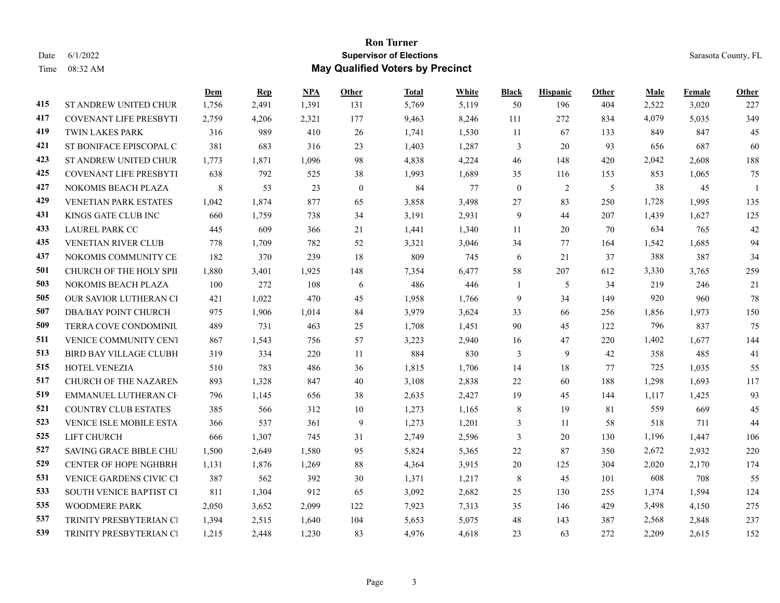## **Ron Turner** Date 6/1/2022 Sarasota County, FL Time 08:32 AM **May Qualified Voters by Precinct**

|     |                               | Dem   | <b>Rep</b> | <b>NPA</b> | Other        | Total | White | <b>Black</b> | <b>Hispanic</b> | Other | Male  | <b>Female</b> | Other          |
|-----|-------------------------------|-------|------------|------------|--------------|-------|-------|--------------|-----------------|-------|-------|---------------|----------------|
| 415 | ST ANDREW UNITED CHUR         | 1,756 | 2,491      | 1,391      | 131          | 5,769 | 5,119 | 50           | 196             | 404   | 2,522 | 3,020         | 227            |
| 417 | <b>COVENANT LIFE PRESBYTI</b> | 2,759 | 4,206      | 2,321      | 177          | 9,463 | 8,246 | 111          | 272             | 834   | 4,079 | 5,035         | 349            |
| 419 | <b>TWIN LAKES PARK</b>        | 316   | 989        | 410        | 26           | 1,741 | 1,530 | 11           | 67              | 133   | 849   | 847           | 45             |
| 421 | ST BONIFACE EPISCOPAL C       | 381   | 683        | 316        | 23           | 1,403 | 1,287 | 3            | 20              | 93    | 656   | 687           | 60             |
| 423 | ST ANDREW UNITED CHUR         | 1,773 | 1,871      | 1,096      | 98           | 4,838 | 4,224 | 46           | 148             | 420   | 2,042 | 2,608         | 188            |
| 425 | <b>COVENANT LIFE PRESBYTI</b> | 638   | 792        | 525        | 38           | 1,993 | 1,689 | 35           | 116             | 153   | 853   | 1,065         | 75             |
| 427 | NOKOMIS BEACH PLAZA           | 8     | 53         | 23         | $\mathbf{0}$ | 84    | 77    | $\mathbf{0}$ | $\overline{c}$  | 5     | 38    | 45            | $\overline{1}$ |
| 429 | VENETIAN PARK ESTATES         | 1,042 | 1,874      | 877        | 65           | 3,858 | 3,498 | 27           | 83              | 250   | 1,728 | 1,995         | 135            |
| 431 | KINGS GATE CLUB INC           | 660   | 1,759      | 738        | 34           | 3,191 | 2,931 | 9            | 44              | 207   | 1,439 | 1,627         | 125            |
| 433 | <b>LAUREL PARK CC</b>         | 445   | 609        | 366        | 21           | 1,441 | 1,340 | 11           | 20              | 70    | 634   | 765           | 42             |
| 435 | VENETIAN RIVER CLUB           | 778   | 1,709      | 782        | 52           | 3,321 | 3,046 | 34           | 77              | 164   | 1,542 | 1,685         | 94             |
| 437 | NOKOMIS COMMUNITY CE          | 182   | 370        | 239        | 18           | 809   | 745   | 6            | 21              | 37    | 388   | 387           | 34             |
| 501 | CHURCH OF THE HOLY SPII       | 1,880 | 3,401      | 1,925      | 148          | 7,354 | 6,477 | 58           | 207             | 612   | 3,330 | 3,765         | 259            |
| 503 | <b>NOKOMIS BEACH PLAZA</b>    | 100   | 272        | 108        | 6            | 486   | 446   | 1            | 5               | 34    | 219   | 246           | 21             |
| 505 | OUR SAVIOR LUTHERAN CI        | 421   | 1,022      | 470        | 45           | 1,958 | 1,766 | 9            | 34              | 149   | 920   | 960           | 78             |
| 507 | <b>DBA/BAY POINT CHURCH</b>   | 975   | 1,906      | 1,014      | 84           | 3,979 | 3,624 | 33           | 66              | 256   | 1,856 | 1,973         | 150            |
| 509 | <b>TERRA COVE CONDOMINIU</b>  | 489   | 731        | 463        | 25           | 1,708 | 1,451 | 90           | 45              | 122   | 796   | 837           | 75             |
| 511 | VENICE COMMUNITY CENT         | 867   | 1,543      | 756        | 57           | 3,223 | 2,940 | 16           | 47              | 220   | 1,402 | 1,677         | 144            |
| 513 | <b>BIRD BAY VILLAGE CLUBH</b> | 319   | 334        | 220        | 11           | 884   | 830   | 3            | 9               | 42    | 358   | 485           | 41             |
| 515 | <b>HOTEL VENEZIA</b>          | 510   | 783        | 486        | 36           | 1,815 | 1,706 | 14           | 18              | 77    | 725   | 1,035         | 55             |
| 517 | CHURCH OF THE NAZAREN         | 893   | 1,328      | 847        | 40           | 3,108 | 2,838 | 22           | 60              | 188   | 1,298 | 1,693         | 117            |
| 519 | EMMANUEL LUTHERAN CE          | 796   | 1,145      | 656        | 38           | 2,635 | 2,427 | 19           | 45              | 144   | 1,117 | 1,425         | 93             |
| 521 | <b>COUNTRY CLUB ESTATES</b>   | 385   | 566        | 312        | 10           | 1,273 | 1,165 | 8            | 19              | 81    | 559   | 669           | 45             |
| 523 | VENICE ISLE MOBILE ESTA       | 366   | 537        | 361        | 9            | 1,273 | 1,201 | 3            | 11              | 58    | 518   | 711           | 44             |
| 525 | LIFT CHURCH                   | 666   | 1,307      | 745        | 31           | 2,749 | 2,596 | 3            | $20\,$          | 130   | 1,196 | 1,447         | 106            |
| 527 | SAVING GRACE BIBLE CHU        | 1,500 | 2,649      | 1,580      | 95           | 5,824 | 5,365 | 22           | 87              | 350   | 2,672 | 2,932         | 220            |
| 529 | <b>CENTER OF HOPE NGHBRH</b>  | 1,131 | 1,876      | 1,269      | 88           | 4,364 | 3,915 | 20           | 125             | 304   | 2,020 | 2,170         | 174            |
| 531 | VENICE GARDENS CIVIC CI       | 387   | 562        | 392        | 30           | 1,371 | 1,217 | 8            | 45              | 101   | 608   | 708           | 55             |
| 533 | SOUTH VENICE BAPTIST CI       | 811   | 1,304      | 912        | 65           | 3,092 | 2,682 | 25           | 130             | 255   | 1,374 | 1,594         | 124            |
| 535 | WOODMERE PARK                 | 2,050 | 3,652      | 2,099      | 122          | 7,923 | 7,313 | 35           | 146             | 429   | 3,498 | 4,150         | 275            |
| 537 | TRINITY PRESBYTERIAN CI       | 1,394 | 2,515      | 1,640      | 104          | 5,653 | 5,075 | 48           | 143             | 387   | 2,568 | 2,848         | 237            |
| 539 | TRINITY PRESBYTERIAN CI       | 1,215 | 2,448      | 1,230      | 83           | 4,976 | 4,618 | 23           | 63              | 272   | 2,209 | 2,615         | 152            |